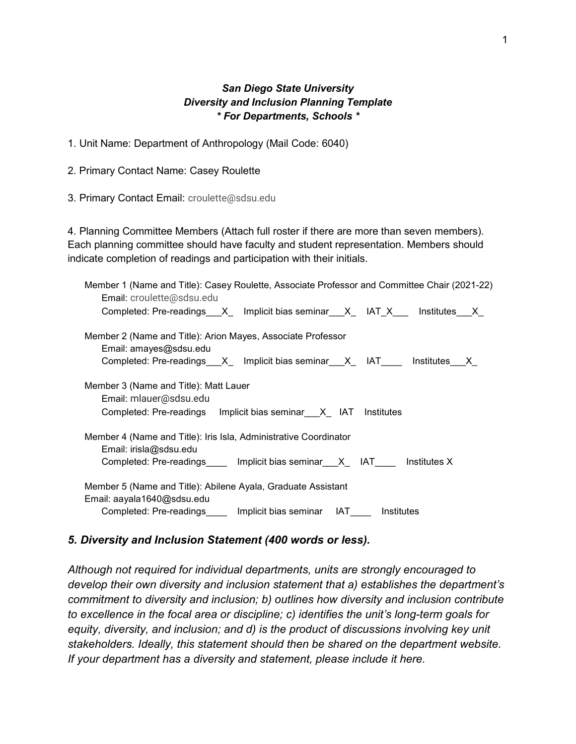### *San Diego State University Diversity and Inclusion Planning Template \* For Departments, Schools \**

1. Unit Name: Department of Anthropology (Mail Code: 6040)

2. Primary Contact Name: Casey Roulette

3. Primary Contact Email: croulette@sdsu.edu

4. Planning Committee Members (Attach full roster if there are more than seven members). Each planning committee should have faculty and student representation. Members should indicate completion of readings and participation with their initials.

| Member 1 (Name and Title): Casey Roulette, Associate Professor and Committee Chair (2021-22)<br>Email: croulette@sdsu.edu |
|---------------------------------------------------------------------------------------------------------------------------|
| Completed: Pre-readings___X_ Implicit bias seminar___X_ IAT_X__ Institutes___X_                                           |
| Member 2 (Name and Title): Arion Mayes, Associate Professor<br>Email: amayes@sdsu.edu                                     |
| Completed: Pre-readings X Implicit bias seminar X IAT Institutes X                                                        |
| Member 3 (Name and Title): Matt Lauer<br>Email: mlauer@sdsu.edu                                                           |
| Completed: Pre-readings Implicit bias seminar X IAT Institutes                                                            |
| Member 4 (Name and Title): Iris Isla, Administrative Coordinator<br>Email: irisla@sdsu.edu                                |
| Completed: Pre-readings_____ Implicit bias seminar__X_ IAT____ Institutes X                                               |
| Member 5 (Name and Title): Abilene Ayala, Graduate Assistant<br>Email: aayala1640@sdsu.edu                                |
| Completed: Pre-readings_____ Implicit bias seminar IAT____ Institutes                                                     |

### *5. Diversity and Inclusion Statement (400 words or less).*

*Although not required for individual departments, units are strongly encouraged to develop their own diversity and inclusion statement that a) establishes the department's commitment to diversity and inclusion; b) outlines how diversity and inclusion contribute to excellence in the focal area or discipline; c) identifies the unit's long-term goals for equity, diversity, and inclusion; and d) is the product of discussions involving key unit stakeholders. Ideally, this statement should then be shared on the department website. If your department has a diversity and statement, please include it here.*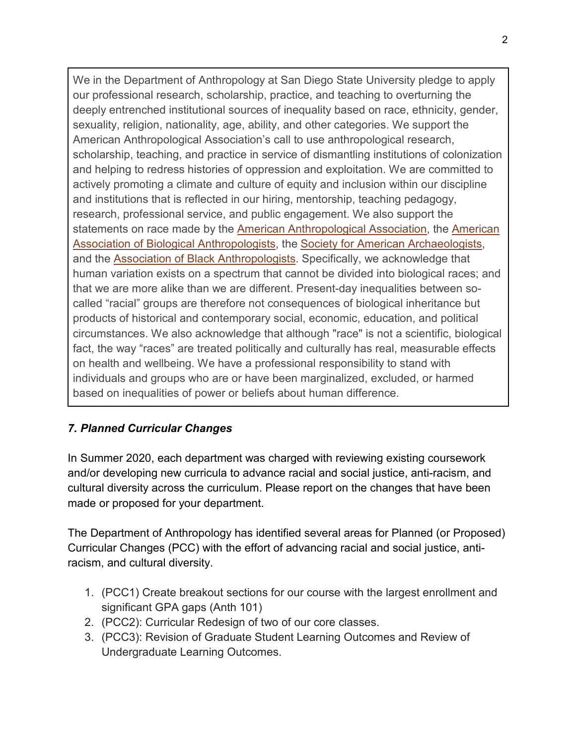We in the Department of Anthropology at San Diego State University pledge to apply our professional research, scholarship, practice, and teaching to overturning the deeply entrenched institutional sources of inequality based on race, ethnicity, gender, sexuality, religion, nationality, age, ability, and other categories. We support the American Anthropological Association's call to use anthropological research, scholarship, teaching, and practice in service of dismantling institutions of colonization and helping to redress histories of oppression and exploitation. We are committed to actively promoting a climate and culture of equity and inclusion within our discipline and institutions that is reflected in our hiring, mentorship, teaching pedagogy, research, professional service, and public engagement. We also support the statements on race made by the [American Anthropological Association,](https://www.americananthro.org/ConnectWithAAA/Content.aspx?ItemNumber=2583) the [American](https://physanth.org/about/position-statements/aapa-statement-race-and-racism-2019/)  [Association of Biological Anthropologists,](https://physanth.org/about/position-statements/aapa-statement-race-and-racism-2019/) the [Society for American Archaeologists,](https://www.saa.org/career-practice/saa-statements-guidelines/statement-details/2020/06/02/saa-joins-the-national-call-for-comprehensive-justice) and the [Association of Black Anthropologists.](http://aba.americananthro.org/aba-statement-against-police-violence-and-anti-black-racism-3/) Specifically, we acknowledge that human variation exists on a spectrum that cannot be divided into biological races; and that we are more alike than we are different. Present-day inequalities between socalled "racial" groups are therefore not consequences of biological inheritance but products of historical and contemporary social, economic, education, and political circumstances. We also acknowledge that although "race" is not a scientific, biological fact, the way "races" are treated politically and culturally has real, measurable effects on health and wellbeing. We have a professional responsibility to stand with individuals and groups who are or have been marginalized, excluded, or harmed based on inequalities of power or beliefs about human difference.

## *7. Planned Curricular Changes*

In Summer 2020, each department was charged with reviewing existing coursework and/or developing new curricula to advance racial and social justice, anti-racism, and cultural diversity across the curriculum. Please report on the changes that have been made or proposed for your department.

The Department of Anthropology has identified several areas for Planned (or Proposed) Curricular Changes (PCC) with the effort of advancing racial and social justice, antiracism, and cultural diversity.

- 1. (PCC1) Create breakout sections for our course with the largest enrollment and significant GPA gaps (Anth 101)
- 2. (PCC2): Curricular Redesign of two of our core classes.
- 3. (PCC3): Revision of Graduate Student Learning Outcomes and Review of Undergraduate Learning Outcomes.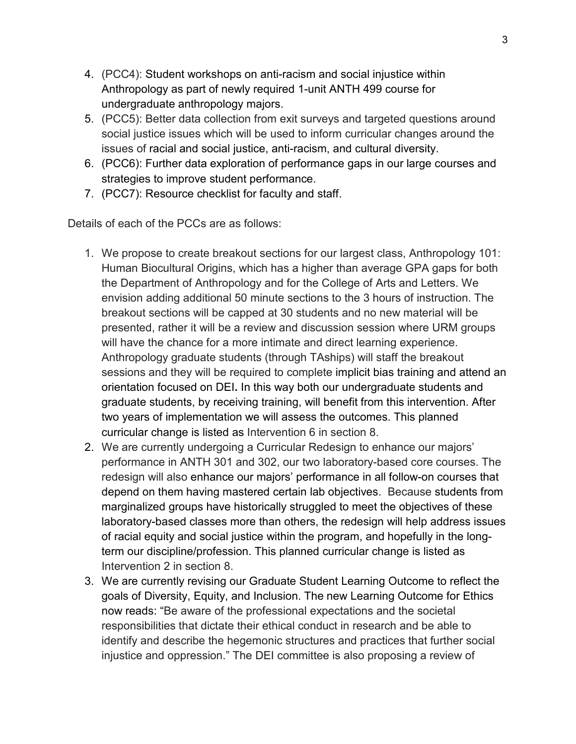- 4. (PCC4): Student workshops on anti-racism and social injustice within Anthropology as part of newly required 1-unit ANTH 499 course for undergraduate anthropology majors.
- 5. (PCC5): Better data collection from exit surveys and targeted questions around social justice issues which will be used to inform curricular changes around the issues of racial and social justice, anti-racism, and cultural diversity.
- 6. (PCC6): Further data exploration of performance gaps in our large courses and strategies to improve student performance.
- 7. (PCC7): Resource checklist for faculty and staff.

Details of each of the PCCs are as follows:

- 1. We propose to create breakout sections for our largest class, Anthropology 101: Human Biocultural Origins, which has a higher than average GPA gaps for both the Department of Anthropology and for the College of Arts and Letters. We envision adding additional 50 minute sections to the 3 hours of instruction. The breakout sections will be capped at 30 students and no new material will be presented, rather it will be a review and discussion session where URM groups will have the chance for a more intimate and direct learning experience. Anthropology graduate students (through TAships) will staff the breakout sessions and they will be required to complete implicit bias training and attend an orientation focused on DEI**.** In this way both our undergraduate students and graduate students, by receiving training, will benefit from this intervention. After two years of implementation we will assess the outcomes. This planned curricular change is listed as Intervention 6 in section 8.
- 2. We are currently undergoing a Curricular Redesign to enhance our majors' performance in ANTH 301 and 302, our two laboratory-based core courses. The redesign will also enhance our majors' performance in all follow-on courses that depend on them having mastered certain lab objectives. Because students from marginalized groups have historically struggled to meet the objectives of these laboratory-based classes more than others, the redesign will help address issues of racial equity and social justice within the program, and hopefully in the longterm our discipline/profession. This planned curricular change is listed as Intervention 2 in section 8.
- 3. We are currently revising our Graduate Student Learning Outcome to reflect the goals of Diversity, Equity, and Inclusion. The new Learning Outcome for Ethics now reads: "Be aware of the professional expectations and the societal responsibilities that dictate their ethical conduct in research and be able to identify and describe the hegemonic structures and practices that further social injustice and oppression." The DEI committee is also proposing a review of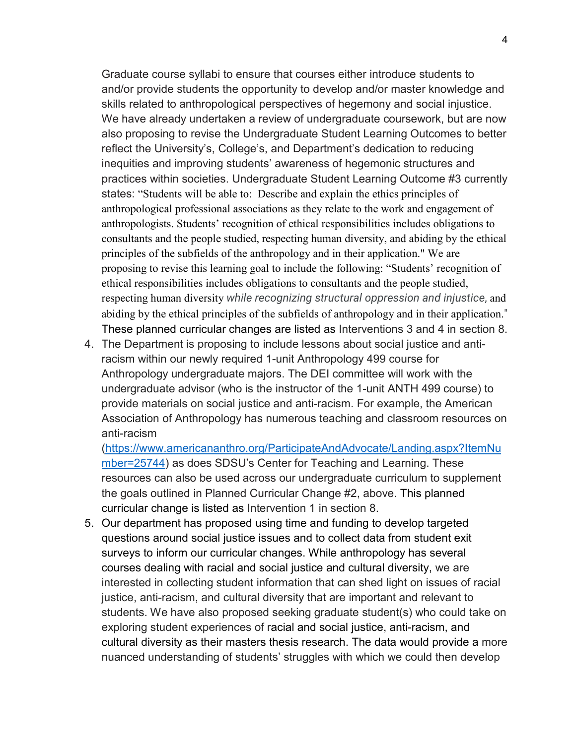Graduate course syllabi to ensure that courses either introduce students to and/or provide students the opportunity to develop and/or master knowledge and skills related to anthropological perspectives of hegemony and social injustice. We have already undertaken a review of undergraduate coursework, but are now also proposing to revise the Undergraduate Student Learning Outcomes to better reflect the University's, College's, and Department's dedication to reducing inequities and improving students' awareness of hegemonic structures and practices within societies. Undergraduate Student Learning Outcome #3 currently states: "Students will be able to: Describe and explain the ethics principles of anthropological professional associations as they relate to the work and engagement of anthropologists. Students' recognition of ethical responsibilities includes obligations to consultants and the people studied, respecting human diversity, and abiding by the ethical principles of the subfields of the anthropology and in their application." We are proposing to revise this learning goal to include the following: "Students' recognition of ethical responsibilities includes obligations to consultants and the people studied, respecting human diversity *while recognizing structural oppression and injustice*, and abiding by the ethical principles of the subfields of anthropology and in their application." These planned curricular changes are listed as Interventions 3 and 4 in section 8.

4. The Department is proposing to include lessons about social justice and antiracism within our newly required 1-unit Anthropology 499 course for Anthropology undergraduate majors. The DEI committee will work with the undergraduate advisor (who is the instructor of the 1-unit ANTH 499 course) to provide materials on social justice and anti-racism. For example, the American Association of Anthropology has numerous teaching and classroom resources on anti-racism

[\(https://www.americananthro.org/ParticipateAndAdvocate/Landing.aspx?ItemNu](https://www.americananthro.org/ParticipateAndAdvocate/Landing.aspx?ItemNumber=25744) [mber=25744\)](https://www.americananthro.org/ParticipateAndAdvocate/Landing.aspx?ItemNumber=25744) as does SDSU's Center for Teaching and Learning. These resources can also be used across our undergraduate curriculum to supplement the goals outlined in Planned Curricular Change #2, above. This planned curricular change is listed as Intervention 1 in section 8.

5. Our department has proposed using time and funding to develop targeted questions around social justice issues and to collect data from student exit surveys to inform our curricular changes. While anthropology has several courses dealing with racial and social justice and cultural diversity, we are interested in collecting student information that can shed light on issues of racial justice, anti-racism, and cultural diversity that are important and relevant to students. We have also proposed seeking graduate student(s) who could take on exploring student experiences of racial and social justice, anti-racism, and cultural diversity as their masters thesis research. The data would provide a more nuanced understanding of students' struggles with which we could then develop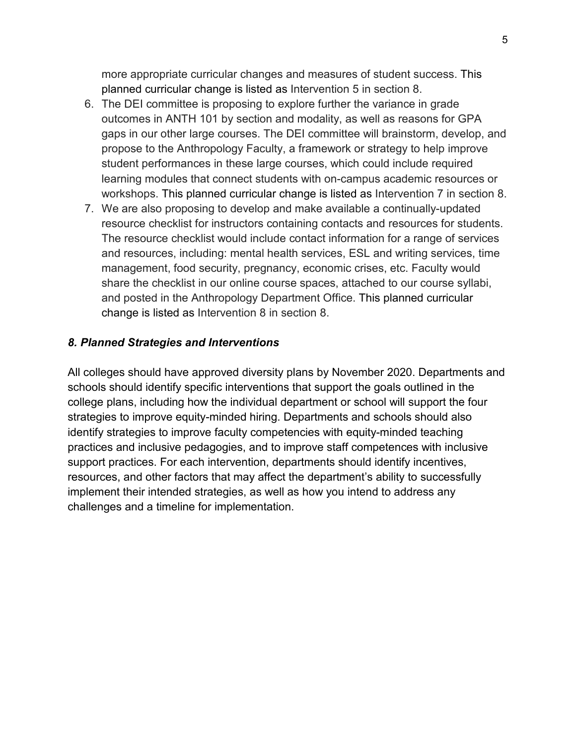more appropriate curricular changes and measures of student success. This planned curricular change is listed as Intervention 5 in section 8.

- 6. The DEI committee is proposing to explore further the variance in grade outcomes in ANTH 101 by section and modality, as well as reasons for GPA gaps in our other large courses. The DEI committee will brainstorm, develop, and propose to the Anthropology Faculty, a framework or strategy to help improve student performances in these large courses, which could include required learning modules that connect students with on-campus academic resources or workshops. This planned curricular change is listed as Intervention 7 in section 8.
- 7. We are also proposing to develop and make available a continually-updated resource checklist for instructors containing contacts and resources for students. The resource checklist would include contact information for a range of services and resources, including: mental health services, ESL and writing services, time management, food security, pregnancy, economic crises, etc. Faculty would share the checklist in our online course spaces, attached to our course syllabi, and posted in the Anthropology Department Office. This planned curricular change is listed as Intervention 8 in section 8.

#### *8. Planned Strategies and Interventions*

All colleges should have approved diversity plans by November 2020. Departments and schools should identify specific interventions that support the goals outlined in the college plans, including how the individual department or school will support the four strategies to improve equity-minded hiring. Departments and schools should also identify strategies to improve faculty competencies with equity-minded teaching practices and inclusive pedagogies, and to improve staff competences with inclusive support practices. For each intervention, departments should identify incentives, resources, and other factors that may affect the department's ability to successfully implement their intended strategies, as well as how you intend to address any challenges and a timeline for implementation.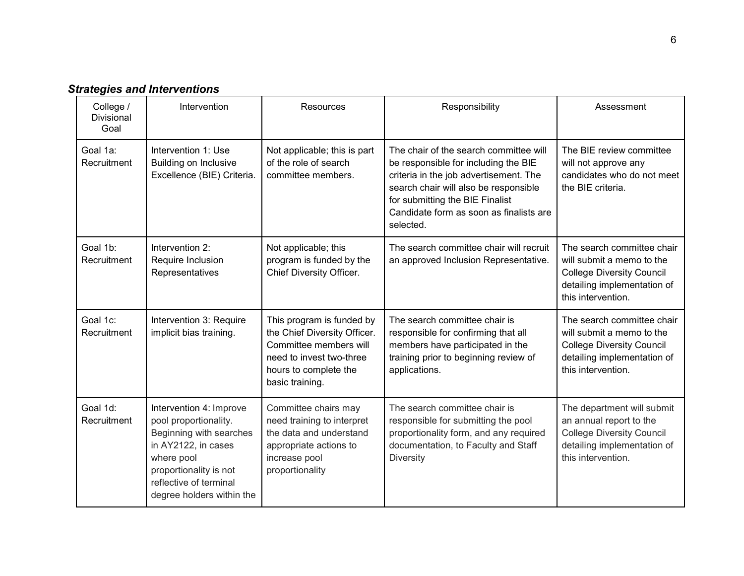|  |  |  |  |  | <b>Strategies and Interventions</b> |
|--|--|--|--|--|-------------------------------------|
|--|--|--|--|--|-------------------------------------|

| College /<br>Divisional<br>Goal | Intervention                                                                                                                                                                                      | Resources                                                                                                                                                   | Responsibility                                                                                                                                                                                                                                               | Assessment                                                                                                                                       |
|---------------------------------|---------------------------------------------------------------------------------------------------------------------------------------------------------------------------------------------------|-------------------------------------------------------------------------------------------------------------------------------------------------------------|--------------------------------------------------------------------------------------------------------------------------------------------------------------------------------------------------------------------------------------------------------------|--------------------------------------------------------------------------------------------------------------------------------------------------|
| Goal 1a:<br>Recruitment         | Intervention 1: Use<br><b>Building on Inclusive</b><br>Excellence (BIE) Criteria.                                                                                                                 | Not applicable; this is part<br>of the role of search<br>committee members.                                                                                 | The chair of the search committee will<br>be responsible for including the BIE<br>criteria in the job advertisement. The<br>search chair will also be responsible<br>for submitting the BIE Finalist<br>Candidate form as soon as finalists are<br>selected. | The BIE review committee<br>will not approve any<br>candidates who do not meet<br>the BIE criteria.                                              |
| Goal 1b:<br>Recruitment         | Intervention 2:<br>Require Inclusion<br>Representatives                                                                                                                                           | Not applicable; this<br>program is funded by the<br>Chief Diversity Officer.                                                                                | The search committee chair will recruit<br>an approved Inclusion Representative.                                                                                                                                                                             | The search committee chair<br>will submit a memo to the<br><b>College Diversity Council</b><br>detailing implementation of<br>this intervention. |
| Goal 1c:<br>Recruitment         | Intervention 3: Require<br>implicit bias training.                                                                                                                                                | This program is funded by<br>the Chief Diversity Officer.<br>Committee members will<br>need to invest two-three<br>hours to complete the<br>basic training. | The search committee chair is<br>responsible for confirming that all<br>members have participated in the<br>training prior to beginning review of<br>applications.                                                                                           | The search committee chair<br>will submit a memo to the<br><b>College Diversity Council</b><br>detailing implementation of<br>this intervention. |
| Goal 1d:<br>Recruitment         | Intervention 4: Improve<br>pool proportionality.<br>Beginning with searches<br>in AY2122, in cases<br>where pool<br>proportionality is not<br>reflective of terminal<br>degree holders within the | Committee chairs may<br>need training to interpret<br>the data and understand<br>appropriate actions to<br>increase pool<br>proportionality                 | The search committee chair is<br>responsible for submitting the pool<br>proportionality form, and any required<br>documentation, to Faculty and Staff<br>Diversity                                                                                           | The department will submit<br>an annual report to the<br><b>College Diversity Council</b><br>detailing implementation of<br>this intervention.   |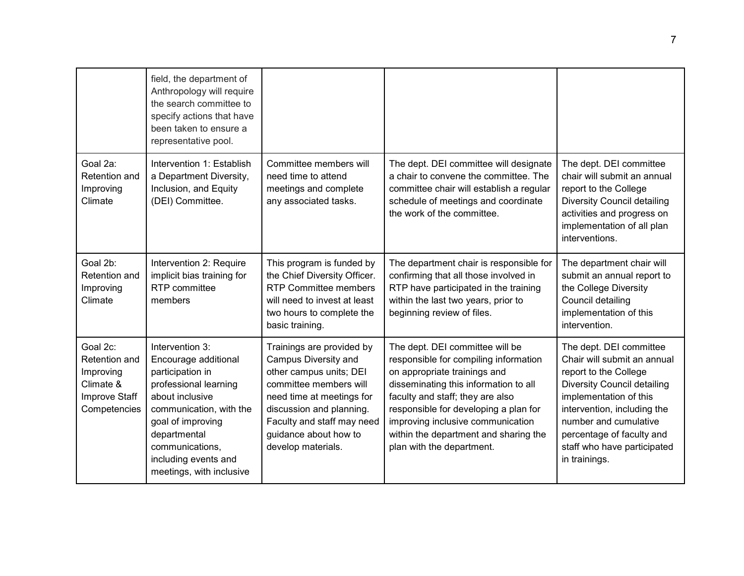|                                                                                      | field, the department of<br>Anthropology will require<br>the search committee to<br>specify actions that have<br>been taken to ensure a<br>representative pool.                                                                                |                                                                                                                                                                                                                                              |                                                                                                                                                                                                                                                                                                                                           |                                                                                                                                                                                                                                                                                      |
|--------------------------------------------------------------------------------------|------------------------------------------------------------------------------------------------------------------------------------------------------------------------------------------------------------------------------------------------|----------------------------------------------------------------------------------------------------------------------------------------------------------------------------------------------------------------------------------------------|-------------------------------------------------------------------------------------------------------------------------------------------------------------------------------------------------------------------------------------------------------------------------------------------------------------------------------------------|--------------------------------------------------------------------------------------------------------------------------------------------------------------------------------------------------------------------------------------------------------------------------------------|
| Goal 2a:<br>Retention and<br>Improving<br>Climate                                    | Intervention 1: Establish<br>a Department Diversity,<br>Inclusion, and Equity<br>(DEI) Committee.                                                                                                                                              | Committee members will<br>need time to attend<br>meetings and complete<br>any associated tasks.                                                                                                                                              | The dept. DEI committee will designate<br>a chair to convene the committee. The<br>committee chair will establish a regular<br>schedule of meetings and coordinate<br>the work of the committee.                                                                                                                                          | The dept. DEI committee<br>chair will submit an annual<br>report to the College<br><b>Diversity Council detailing</b><br>activities and progress on<br>implementation of all plan<br>interventions.                                                                                  |
| Goal 2b:<br><b>Retention and</b><br>Improving<br>Climate                             | Intervention 2: Require<br>implicit bias training for<br>RTP committee<br>members                                                                                                                                                              | This program is funded by<br>the Chief Diversity Officer.<br><b>RTP Committee members</b><br>will need to invest at least<br>two hours to complete the<br>basic training.                                                                    | The department chair is responsible for<br>confirming that all those involved in<br>RTP have participated in the training<br>within the last two years, prior to<br>beginning review of files.                                                                                                                                            | The department chair will<br>submit an annual report to<br>the College Diversity<br>Council detailing<br>implementation of this<br>intervention.                                                                                                                                     |
| Goal 2c:<br>Retention and<br>Improving<br>Climate &<br>Improve Staff<br>Competencies | Intervention 3:<br>Encourage additional<br>participation in<br>professional learning<br>about inclusive<br>communication, with the<br>goal of improving<br>departmental<br>communications,<br>including events and<br>meetings, with inclusive | Trainings are provided by<br>Campus Diversity and<br>other campus units; DEI<br>committee members will<br>need time at meetings for<br>discussion and planning.<br>Faculty and staff may need<br>guidance about how to<br>develop materials. | The dept. DEI committee will be<br>responsible for compiling information<br>on appropriate trainings and<br>disseminating this information to all<br>faculty and staff; they are also<br>responsible for developing a plan for<br>improving inclusive communication<br>within the department and sharing the<br>plan with the department. | The dept. DEI committee<br>Chair will submit an annual<br>report to the College<br><b>Diversity Council detailing</b><br>implementation of this<br>intervention, including the<br>number and cumulative<br>percentage of faculty and<br>staff who have participated<br>in trainings. |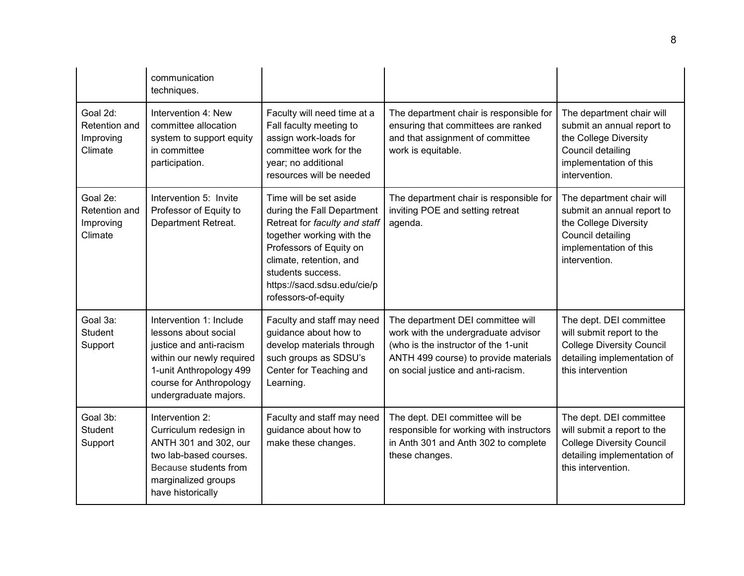|                                                   | communication<br>techniques.                                                                                                                                                           |                                                                                                                                                                                                                                                     |                                                                                                                                                                                                 |                                                                                                                                                  |
|---------------------------------------------------|----------------------------------------------------------------------------------------------------------------------------------------------------------------------------------------|-----------------------------------------------------------------------------------------------------------------------------------------------------------------------------------------------------------------------------------------------------|-------------------------------------------------------------------------------------------------------------------------------------------------------------------------------------------------|--------------------------------------------------------------------------------------------------------------------------------------------------|
| Goal 2d:<br>Retention and<br>Improving<br>Climate | Intervention 4: New<br>committee allocation<br>system to support equity<br>in committee<br>participation.                                                                              | Faculty will need time at a<br>Fall faculty meeting to<br>assign work-loads for<br>committee work for the<br>year; no additional<br>resources will be needed                                                                                        | The department chair is responsible for<br>ensuring that committees are ranked<br>and that assignment of committee<br>work is equitable.                                                        | The department chair will<br>submit an annual report to<br>the College Diversity<br>Council detailing<br>implementation of this<br>intervention. |
| Goal 2e:<br>Retention and<br>Improving<br>Climate | Intervention 5: Invite<br>Professor of Equity to<br>Department Retreat.                                                                                                                | Time will be set aside<br>during the Fall Department<br>Retreat for faculty and staff<br>together working with the<br>Professors of Equity on<br>climate, retention, and<br>students success.<br>https://sacd.sdsu.edu/cie/p<br>rofessors-of-equity | The department chair is responsible for<br>inviting POE and setting retreat<br>agenda.                                                                                                          | The department chair will<br>submit an annual report to<br>the College Diversity<br>Council detailing<br>implementation of this<br>intervention. |
| Goal 3a:<br>Student<br>Support                    | Intervention 1: Include<br>lessons about social<br>justice and anti-racism<br>within our newly required<br>1-unit Anthropology 499<br>course for Anthropology<br>undergraduate majors. | Faculty and staff may need<br>guidance about how to<br>develop materials through<br>such groups as SDSU's<br>Center for Teaching and<br>Learning.                                                                                                   | The department DEI committee will<br>work with the undergraduate advisor<br>(who is the instructor of the 1-unit<br>ANTH 499 course) to provide materials<br>on social justice and anti-racism. | The dept. DEI committee<br>will submit report to the<br><b>College Diversity Council</b><br>detailing implementation of<br>this intervention     |
| Goal 3b:<br><b>Student</b><br>Support             | Intervention 2:<br>Curriculum redesign in<br>ANTH 301 and 302, our<br>two lab-based courses.<br>Because students from<br>marginalized groups<br>have historically                      | Faculty and staff may need<br>guidance about how to<br>make these changes.                                                                                                                                                                          | The dept. DEI committee will be<br>responsible for working with instructors<br>in Anth 301 and Anth 302 to complete<br>these changes.                                                           | The dept. DEI committee<br>will submit a report to the<br><b>College Diversity Council</b><br>detailing implementation of<br>this intervention.  |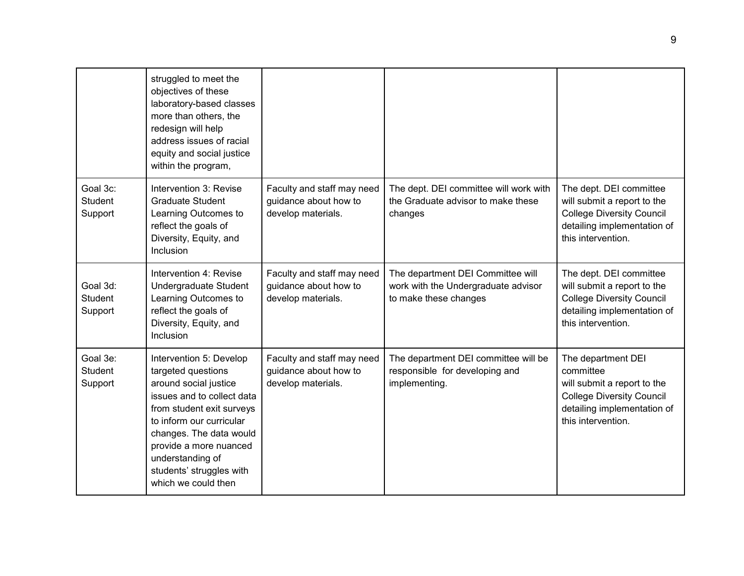|                                       | struggled to meet the<br>objectives of these<br>laboratory-based classes<br>more than others, the<br>redesign will help<br>address issues of racial<br>equity and social justice<br>within the program,                                                                                   |                                                                           |                                                                                                   |                                                                                                                                                         |
|---------------------------------------|-------------------------------------------------------------------------------------------------------------------------------------------------------------------------------------------------------------------------------------------------------------------------------------------|---------------------------------------------------------------------------|---------------------------------------------------------------------------------------------------|---------------------------------------------------------------------------------------------------------------------------------------------------------|
| Goal 3c:<br><b>Student</b><br>Support | Intervention 3: Revise<br><b>Graduate Student</b><br>Learning Outcomes to<br>reflect the goals of<br>Diversity, Equity, and<br>Inclusion                                                                                                                                                  | Faculty and staff may need<br>guidance about how to<br>develop materials. | The dept. DEI committee will work with<br>the Graduate advisor to make these<br>changes           | The dept. DEI committee<br>will submit a report to the<br><b>College Diversity Council</b><br>detailing implementation of<br>this intervention.         |
| Goal 3d:<br><b>Student</b><br>Support | Intervention 4: Revise<br>Undergraduate Student<br>Learning Outcomes to<br>reflect the goals of<br>Diversity, Equity, and<br>Inclusion                                                                                                                                                    | Faculty and staff may need<br>guidance about how to<br>develop materials. | The department DEI Committee will<br>work with the Undergraduate advisor<br>to make these changes | The dept. DEI committee<br>will submit a report to the<br><b>College Diversity Council</b><br>detailing implementation of<br>this intervention.         |
| Goal 3e:<br><b>Student</b><br>Support | Intervention 5: Develop<br>targeted questions<br>around social justice<br>issues and to collect data<br>from student exit surveys<br>to inform our curricular<br>changes. The data would<br>provide a more nuanced<br>understanding of<br>students' struggles with<br>which we could then | Faculty and staff may need<br>guidance about how to<br>develop materials. | The department DEI committee will be<br>responsible for developing and<br>implementing.           | The department DEI<br>committee<br>will submit a report to the<br><b>College Diversity Council</b><br>detailing implementation of<br>this intervention. |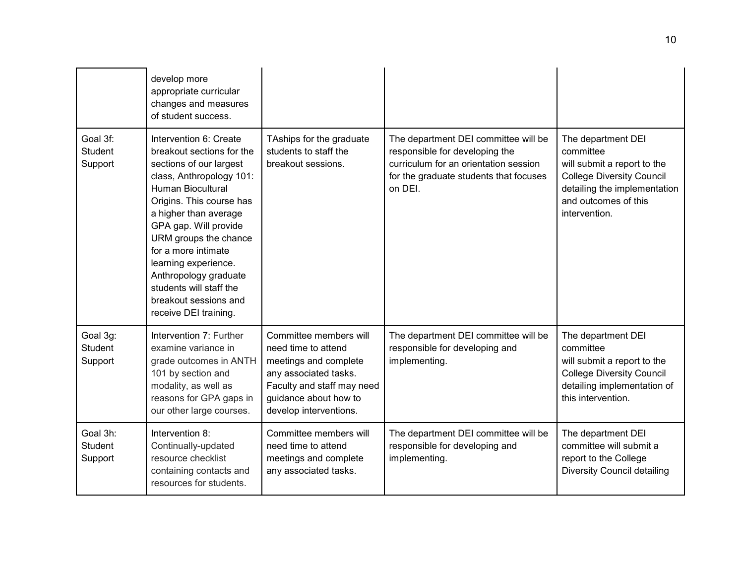|                                       | develop more<br>appropriate curricular<br>changes and measures<br>of student success.                                                                                                                                                                                                                                                                                                              |                                                                                                                                                                                  |                                                                                                                                                                      |                                                                                                                                                                             |
|---------------------------------------|----------------------------------------------------------------------------------------------------------------------------------------------------------------------------------------------------------------------------------------------------------------------------------------------------------------------------------------------------------------------------------------------------|----------------------------------------------------------------------------------------------------------------------------------------------------------------------------------|----------------------------------------------------------------------------------------------------------------------------------------------------------------------|-----------------------------------------------------------------------------------------------------------------------------------------------------------------------------|
| Goal 3f:<br><b>Student</b><br>Support | Intervention 6: Create<br>breakout sections for the<br>sections of our largest<br>class, Anthropology 101:<br><b>Human Biocultural</b><br>Origins. This course has<br>a higher than average<br>GPA gap. Will provide<br>URM groups the chance<br>for a more intimate<br>learning experience.<br>Anthropology graduate<br>students will staff the<br>breakout sessions and<br>receive DEI training. | TAships for the graduate<br>students to staff the<br>breakout sessions.                                                                                                          | The department DEI committee will be<br>responsible for developing the<br>curriculum for an orientation session<br>for the graduate students that focuses<br>on DEI. | The department DEI<br>committee<br>will submit a report to the<br><b>College Diversity Council</b><br>detailing the implementation<br>and outcomes of this<br>intervention. |
| Goal 3g:<br><b>Student</b><br>Support | Intervention 7: Further<br>examine variance in<br>grade outcomes in ANTH<br>101 by section and<br>modality, as well as<br>reasons for GPA gaps in<br>our other large courses.                                                                                                                                                                                                                      | Committee members will<br>need time to attend<br>meetings and complete<br>any associated tasks.<br>Faculty and staff may need<br>guidance about how to<br>develop interventions. | The department DEI committee will be<br>responsible for developing and<br>implementing.                                                                              | The department DEI<br>committee<br>will submit a report to the<br><b>College Diversity Council</b><br>detailing implementation of<br>this intervention.                     |
| Goal 3h:<br><b>Student</b><br>Support | Intervention 8:<br>Continually-updated<br>resource checklist<br>containing contacts and<br>resources for students.                                                                                                                                                                                                                                                                                 | Committee members will<br>need time to attend<br>meetings and complete<br>any associated tasks.                                                                                  | The department DEI committee will be<br>responsible for developing and<br>implementing.                                                                              | The department DEI<br>committee will submit a<br>report to the College<br><b>Diversity Council detailing</b>                                                                |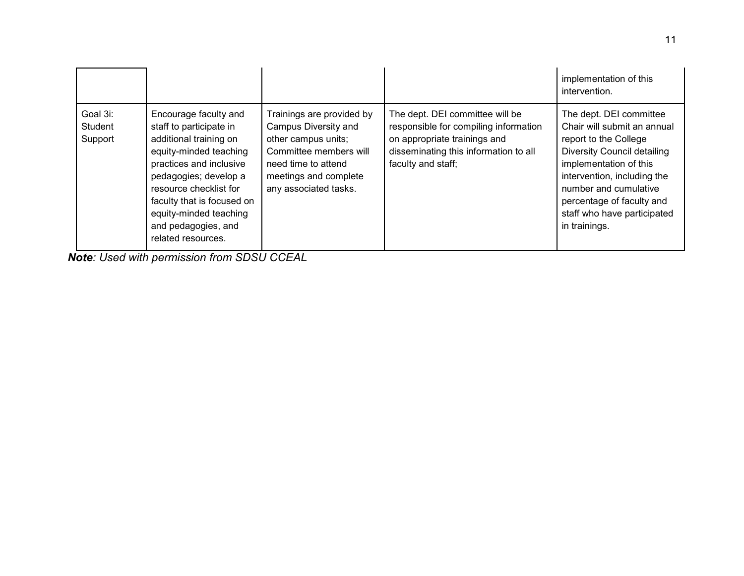|                                |                                                                                                                                                                                                                                                                                         |                                                                                                                                                                             |                                                                                                                                                                         | implementation of this<br>intervention.                                                                                                                                                                                                                                       |
|--------------------------------|-----------------------------------------------------------------------------------------------------------------------------------------------------------------------------------------------------------------------------------------------------------------------------------------|-----------------------------------------------------------------------------------------------------------------------------------------------------------------------------|-------------------------------------------------------------------------------------------------------------------------------------------------------------------------|-------------------------------------------------------------------------------------------------------------------------------------------------------------------------------------------------------------------------------------------------------------------------------|
| Goal 3i:<br>Student<br>Support | Encourage faculty and<br>staff to participate in<br>additional training on<br>equity-minded teaching<br>practices and inclusive<br>pedagogies; develop a<br>resource checklist for<br>faculty that is focused on<br>equity-minded teaching<br>and pedagogies, and<br>related resources. | Trainings are provided by<br>Campus Diversity and<br>other campus units;<br>Committee members will<br>need time to attend<br>meetings and complete<br>any associated tasks. | The dept. DEI committee will be<br>responsible for compiling information<br>on appropriate trainings and<br>disseminating this information to all<br>faculty and staff; | The dept. DEI committee<br>Chair will submit an annual<br>report to the College<br>Diversity Council detailing<br>implementation of this<br>intervention, including the<br>number and cumulative<br>percentage of faculty and<br>staff who have participated<br>in trainings. |

*Note: Used with permission from SDSU CCEAL*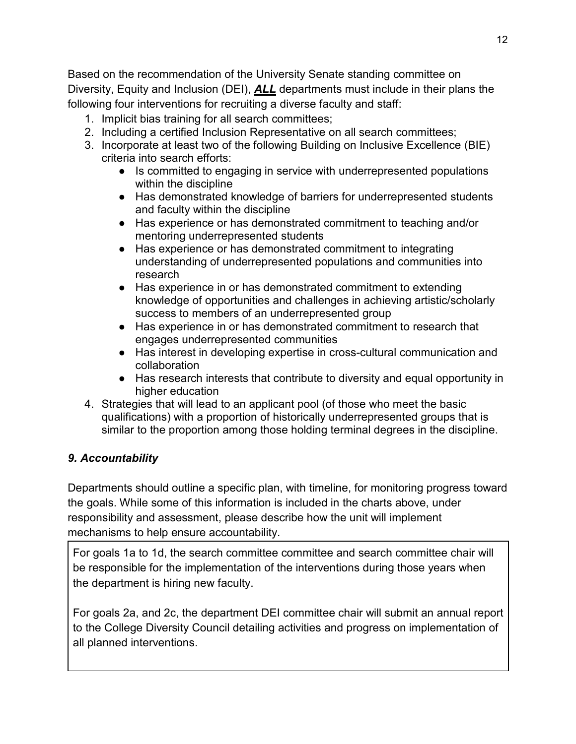Based on the recommendation of the University Senate standing committee on Diversity, Equity and Inclusion (DEI), *ALL* departments must include in their plans the following four interventions for recruiting a diverse faculty and staff:

- 1. Implicit bias training for all search committees;
- 2. Including a certified Inclusion Representative on all search committees;
- 3. Incorporate at least two of the following Building on Inclusive Excellence (BIE) criteria into search efforts:
	- Is committed to engaging in service with underrepresented populations within the discipline
	- Has demonstrated knowledge of barriers for underrepresented students and faculty within the discipline
	- Has experience or has demonstrated commitment to teaching and/or mentoring underrepresented students
	- Has experience or has demonstrated commitment to integrating understanding of underrepresented populations and communities into research
	- Has experience in or has demonstrated commitment to extending knowledge of opportunities and challenges in achieving artistic/scholarly success to members of an underrepresented group
	- Has experience in or has demonstrated commitment to research that engages underrepresented communities
	- Has interest in developing expertise in cross-cultural communication and collaboration
	- Has research interests that contribute to diversity and equal opportunity in higher education
- 4. Strategies that will lead to an applicant pool (of those who meet the basic qualifications) with a proportion of historically underrepresented groups that is similar to the proportion among those holding terminal degrees in the discipline.

# *9. Accountability*

Departments should outline a specific plan, with timeline, for monitoring progress toward the goals. While some of this information is included in the charts above, under responsibility and assessment, please describe how the unit will implement mechanisms to help ensure accountability.

For goals 1a to 1d, the search committee committee and search committee chair will be responsible for the implementation of the interventions during those years when the department is hiring new faculty.

For goals 2a, and 2c, the department DEI committee chair will submit an annual report to the College Diversity Council detailing activities and progress on implementation of all planned interventions.